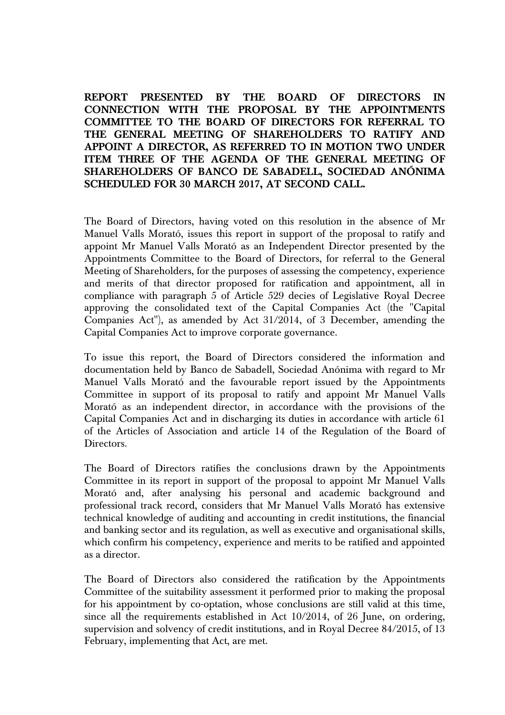**REPORT PRESENTED BY THE BOARD OF DIRECTORS IN CONNECTION WITH THE PROPOSAL BY THE APPOINTMENTS COMMITTEE TO THE BOARD OF DIRECTORS FOR REFERRAL TO THE GENERAL MEETING OF SHAREHOLDERS TO RATIFY AND APPOINT A DIRECTOR, AS REFERRED TO IN MOTION TWO UNDER ITEM THREE OF THE AGENDA OF THE GENERAL MEETING OF SHAREHOLDERS OF BANCO DE SABADELL, SOCIEDAD ANÓNIMA SCHEDULED FOR 30 MARCH 2017, AT SECOND CALL.** 

The Board of Directors, having voted on this resolution in the absence of Mr Manuel Valls Morató, issues this report in support of the proposal to ratify and appoint Mr Manuel Valls Morató as an Independent Director presented by the Appointments Committee to the Board of Directors, for referral to the General Meeting of Shareholders, for the purposes of assessing the competency, experience and merits of that director proposed for ratification and appointment, all in compliance with paragraph 5 of Article 529 decies of Legislative Royal Decree approving the consolidated text of the Capital Companies Act (the "Capital Companies Act"), as amended by Act 31/2014, of 3 December, amending the Capital Companies Act to improve corporate governance.

To issue this report, the Board of Directors considered the information and documentation held by Banco de Sabadell, Sociedad Anónima with regard to Mr Manuel Valls Morató and the favourable report issued by the Appointments Committee in support of its proposal to ratify and appoint Mr Manuel Valls Morató as an independent director, in accordance with the provisions of the Capital Companies Act and in discharging its duties in accordance with article 61 of the Articles of Association and article 14 of the Regulation of the Board of Directors.

The Board of Directors ratifies the conclusions drawn by the Appointments Committee in its report in support of the proposal to appoint Mr Manuel Valls Morató and, after analysing his personal and academic background and professional track record, considers that Mr Manuel Valls Morató has extensive technical knowledge of auditing and accounting in credit institutions, the financial and banking sector and its regulation, as well as executive and organisational skills, which confirm his competency, experience and merits to be ratified and appointed as a director.

The Board of Directors also considered the ratification by the Appointments Committee of the suitability assessment it performed prior to making the proposal for his appointment by co-optation, whose conclusions are still valid at this time, since all the requirements established in Act 10/2014, of 26 June, on ordering, supervision and solvency of credit institutions, and in Royal Decree 84/2015, of 13 February, implementing that Act, are met.